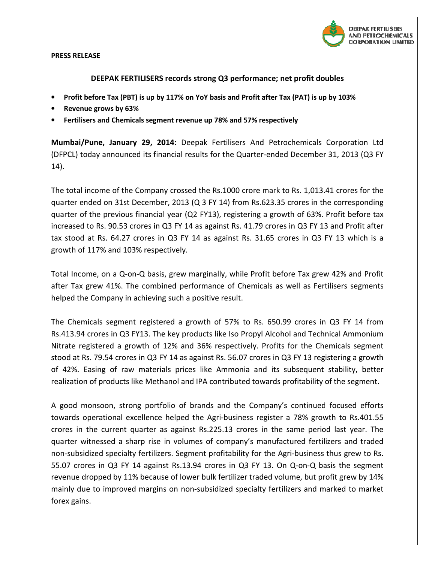

## PRESS RELEASE

## DEEPAK FERTILISERS records strong Q3 performance; net profit doubles

- Profit before Tax (PBT) is up by 117% on YoY basis and Profit after Tax (PAT) is up by 103%<br>• Revenue grows by 63%<br>• Fertilisers and Chemicals segment revenue up 78% and 57% respectively
- Revenue grows by 63%
- Fertilisers and Chemicals segment revenue up 78% and 57% respectively

Mumbai/Pune, January 29, 2014: Deepak Fertilisers And Petrochemicals Corporation Ltd (DFPCL) today announced its financial results for the Quarter-ended December 31, 2013 (Q3 FY 14).

The total income of the Company crossed the Rs.1000 crore mark to Rs. 1,013.41 crores for the quarter ended on 31st December, 2013 (Q 3 FY 14) from Rs.623.35 crores in the corresponding quarter of the previous financial year (Q2 FY13), registering a growth of 63%. Profit before ta increased to Rs. 90.53 crores in Q3 FY 14 as against Rs. 41.79 crores in Q3 FY 13 and Profit after tax stood at Rs. 64.27 crores in Q3 FY 14 as against Rs. 31.65 crores in Q3 FY 13 which is a growth of 117% and 103% respectively. d on 31st December, 2013 (Q 3 FY 14) from Rs.623.35 crores in the correspondine previous financial year (Q2 FY13), registering a growth of 63%. Profit before ta<br>Rs. 90.53 crores in Q3 FY 14 as against Rs. 41.79 crores in Q ended December 31, 2013 (Q3 FY)<br>hark to Rs. 1,013.41 crores for the<br>23.35 crores in the corresponding<br>growth of 63%. Profit before tax

Total Income, on a Q-on-Q basis, grew marginally, while Profit before Tax grew 42% and Profit after Tax grew 41%. The combined performance of Chemicals as well as Fertilisers segments helped the Company in achieving such a positive result.

The Chemicals segment registered a growth of 57% to Rs. 650.99 crores in Q3 FY 14 from Rs.413.94 crores in Q3 FY13. The key products like Iso Propyl Alcohol and Technical Ammonium Nitrate registered a growth of 12% and 36% respectively. Profits for the Che Chemicals segment stood at Rs. 79.54 crores in Q3 FY 14 as against Rs. 56.07 crores in Q3 FY 13 registering a growth of 42%. Easing of raw materials prices like Ammonia and its subsequent stability, better realization of products like Methanol and IPA contributed towards profitability of the segment. The Chemicals segment registered a growth of 57% to Rs. 650.99 crores in C<br>Rs.413.94 crores in Q3 FY13. The key products like Iso Propyl Alcohol and Technic<br>Nitrate registered a growth of 12% and 36% respectively. Profits

A good monsoon, strong portfolio of brands and the Company's continued focused efforts towards operational excellence helped the Agri-business register a 78% growth to Rs.401.55 crores in the current quarter as against Rs.225.13 crores in the same period last year. quarter witnessed a sharp rise in volumes of company's manufactured fertilizers and traded non-subsidized specialty fertilizers. Segment profitability for the Agri-business thus grew to Rs. 55.07 crores in Q3 FY 14 against Rs.13.94 crores in Q3 FY 13. On Q-on-Q basis the segment<br>revenue dropped by 11% because of lower bulk fertilizer traded volume, but profit grew by 14%<br>mainly due to improved margins on nonrevenue dropped by 11% because of lower bulk fertilizer traded volume, but profit grew by 14% mainly due to improved margins on non-subsidized specialty fertilizers and marke forex gains. of brands and the Company's continued focused efforts<br>lped the Agri-business register a 78% growth to Rs.401.55<br>gainst Rs.225.13 crores in the same period last year. The